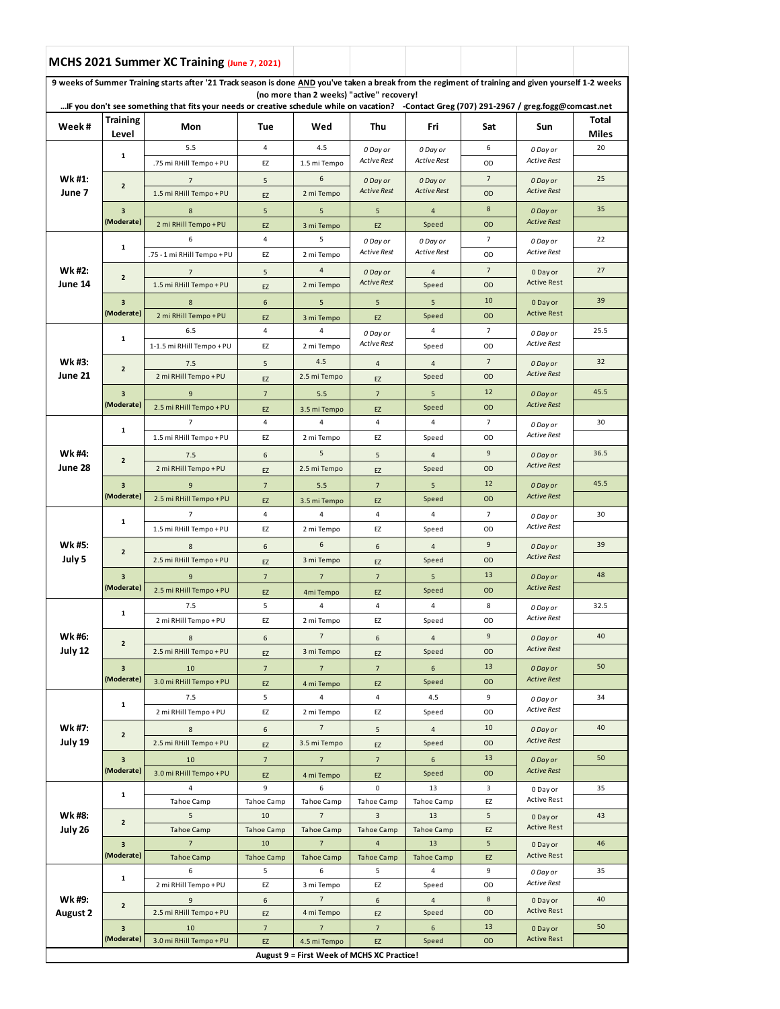|                           |                                                                       | MCHS 2021 Summer XC Training (June 7, 2021)                                                                                                          |                         |                                            |                                     |                         |                |                                |                       |
|---------------------------|-----------------------------------------------------------------------|------------------------------------------------------------------------------------------------------------------------------------------------------|-------------------------|--------------------------------------------|-------------------------------------|-------------------------|----------------|--------------------------------|-----------------------|
|                           |                                                                       | 9 weeks of Summer Training starts after '21 Track season is done AND you've taken a break from the regiment of training and given yourself 1-2 weeks |                         | (no more than 2 weeks) "active" recovery!  |                                     |                         |                |                                |                       |
|                           |                                                                       | IF you don't see something that fits your needs or creative schedule while on vacation? -Contact Greg (707) 291-2967 / greg.fogg@comcast.net         |                         |                                            |                                     |                         |                |                                |                       |
| Week#                     | <b>Training</b><br>Level                                              | Mon                                                                                                                                                  | Tue                     | Wed                                        | Thu                                 | Fri                     | Sat            | Sun                            | Total<br><b>Miles</b> |
|                           |                                                                       | 5.5                                                                                                                                                  | $\overline{4}$          | 4.5                                        | 0 Day or                            | 0 Day or                | 6              | 0 Day or                       | 20                    |
|                           | 1                                                                     | .75 mi RHill Tempo + PU                                                                                                                              | EZ                      | 1.5 mi Tempo                               | <b>Active Rest</b>                  | <b>Active Rest</b>      | OD             | <b>Active Rest</b>             |                       |
| Wk #1:                    | $\overline{2}$<br>$\overline{\mathbf{3}}$                             | $\overline{7}$                                                                                                                                       | 5                       | 6                                          | 0 Day or                            | 0 Day or                | $\overline{7}$ | 0 Day or                       | 25                    |
| June 7                    |                                                                       | 1.5 mi RHill Tempo + PU                                                                                                                              | EZ                      | 2 mi Tempo                                 | <b>Active Rest</b>                  | <b>Active Rest</b>      | OD             | <b>Active Rest</b>             |                       |
|                           |                                                                       | 8                                                                                                                                                    | 5                       | 5                                          | 5                                   | $\overline{4}$          | 8              | 0 Day or                       | 35                    |
|                           | (Moderate)                                                            | 2 mi RHill Tempo + PU                                                                                                                                | EZ                      | 3 mi Tempo                                 | EZ                                  | Speed                   | OD             | <b>Active Rest</b>             |                       |
|                           |                                                                       | 6                                                                                                                                                    | 4                       | 5                                          | 0 Day or                            | 0 Day or                | $\overline{7}$ | 0 Day or                       | 22                    |
|                           | 1                                                                     | .75 - 1 mi RHill Tempo + PU                                                                                                                          | EZ                      | 2 mi Tempo                                 | Active Rest                         | <b>Active Rest</b>      | OD             | <b>Active Rest</b>             |                       |
| Wk #2:                    |                                                                       |                                                                                                                                                      |                         | $\overline{4}$                             |                                     |                         | $\overline{7}$ |                                | 27                    |
| June 14                   | $\overline{2}$                                                        | $\overline{7}$<br>1.5 mi RHill Tempo + PU                                                                                                            | 5                       | 2 mi Tempo                                 | 0 Day or<br><b>Active Rest</b>      | $\overline{4}$<br>Speed | OD             | 0 Day or<br><b>Active Rest</b> |                       |
|                           |                                                                       |                                                                                                                                                      | EZ                      |                                            |                                     |                         | 10             |                                | 39                    |
|                           | $\overline{\mathbf{3}}$<br>(Moderate)                                 | 8                                                                                                                                                    | 6                       | 5                                          | 5                                   | 5                       |                | 0 Day or<br><b>Active Rest</b> |                       |
|                           |                                                                       | 2 mi RHill Tempo + PU                                                                                                                                | EZ                      | 3 mi Tempo                                 | EZ                                  | Speed                   | OD             | 0 Day or<br><b>Active Rest</b> |                       |
|                           | 1                                                                     | 6.5                                                                                                                                                  | 4                       | 4                                          | 0 Day or<br><b>Active Rest</b>      | 4                       | $\overline{7}$ |                                | 25.5                  |
|                           |                                                                       | 1-1.5 mi RHill Tempo + PU                                                                                                                            | EZ                      | 2 mi Tempo                                 |                                     | Speed                   | OD             |                                |                       |
| Wk #3:                    | $\overline{2}$                                                        | 7.5                                                                                                                                                  | 5                       | 4.5                                        | 4                                   | 4                       | $\overline{7}$ | 0 Day or                       | 32                    |
| June 21                   |                                                                       | 2 mi RHill Tempo + PU                                                                                                                                | EZ                      | 2.5 mi Tempo                               | EZ                                  | Speed                   | OD             | <b>Active Rest</b>             |                       |
|                           | $\overline{\mathbf{3}}$                                               | 9                                                                                                                                                    | $7\overline{ }$         | 5.5                                        | $\overline{7}$                      | 5                       | 12             | 0 Day or                       | 45.5                  |
|                           | (Moderate)                                                            | 2.5 mi RHill Tempo + PU                                                                                                                              | EZ                      | 3.5 mi Tempo                               | EZ                                  | Speed                   | OD             | <b>Active Rest</b>             |                       |
|                           | 1                                                                     | $\overline{7}$                                                                                                                                       | 4                       | 4                                          | 4                                   | 4                       | $\overline{7}$ | 0 Day or                       | 30                    |
|                           |                                                                       | 1.5 mi RHill Tempo + PU                                                                                                                              | EZ                      | 2 mi Tempo                                 | EZ                                  | Speed                   | OD             | <b>Active Rest</b>             |                       |
| Wk #4:                    | $\overline{2}$                                                        | 7.5                                                                                                                                                  | 6                       | 5                                          | 5                                   | 4                       | 9              | 0 Day or                       | 36.5                  |
| June 28                   |                                                                       | 2 mi RHill Tempo + PU                                                                                                                                | EZ                      | 2.5 mi Tempo                               | EZ                                  | Speed                   | OD             | <b>Active Rest</b>             |                       |
|                           | $\overline{\mathbf{3}}$<br>(Moderate)                                 | 9                                                                                                                                                    | $\overline{7}$          | 5.5                                        | $\overline{7}$                      | 5                       | 12             | 0 Day or<br><b>Active Rest</b> | 45.5                  |
|                           |                                                                       | 2.5 mi RHill Tempo + PU                                                                                                                              | EZ                      | 3.5 mi Tempo                               | EZ                                  | Speed                   | OD             |                                |                       |
|                           | 1                                                                     | 7                                                                                                                                                    | 4                       | 4                                          | 4                                   | 4                       | $\overline{7}$ | 0 Day or                       | 30                    |
|                           |                                                                       | 1.5 mi RHill Tempo + PU                                                                                                                              | EZ                      | 2 mi Tempo                                 | EZ                                  | Speed                   | OD             | <b>Active Rest</b>             |                       |
| Wk #5:                    | $\mathbf 2$<br>3<br>(Moderate)                                        | 8                                                                                                                                                    | 6                       | 6                                          | 6                                   | $\overline{4}$          | 9              | 0 Day or                       | 39                    |
| July 5                    |                                                                       | 2.5 mi RHill Tempo + PU                                                                                                                              | EZ                      | 3 mi Tempo                                 | EZ                                  | Speed                   | OD             | <b>Active Rest</b>             |                       |
|                           |                                                                       | 9                                                                                                                                                    | $\overline{7}$          | $\overline{7}$                             | $\overline{7}$                      | 5                       | 13             | 0 Day or                       | 48                    |
|                           |                                                                       | 2.5 mi RHill Tempo + PU                                                                                                                              | EZ                      | 4mi Tempo                                  | EZ                                  | Speed                   | OD             | <b>Active Rest</b>             |                       |
|                           | 1<br>$\overline{\mathbf{2}}$<br>$\overline{\mathbf{3}}$<br>(Moderate) | 7.5                                                                                                                                                  | 5                       | 4                                          | 4                                   | 4                       | 8              | 0 Day or                       | 32.5                  |
|                           |                                                                       | 2 mi RHill Tempo + PU                                                                                                                                | EZ                      | 2 mi Tempo                                 | EZ                                  | Speed                   | OD             | Active Rest                    |                       |
| Wk #6:                    |                                                                       |                                                                                                                                                      |                         | $\overline{7}$                             |                                     |                         | 9              |                                | 40                    |
| July 12                   |                                                                       | 8<br>2.5 mi RHill Tempo + PU                                                                                                                         | 6                       | 3 mi Tempo                                 | 6                                   | $\overline{4}$<br>Speed | OD             | 0 Day or<br><b>Active Rest</b> |                       |
|                           |                                                                       |                                                                                                                                                      | EZ                      |                                            | EZ                                  |                         | 13             |                                | 50                    |
|                           |                                                                       | 10                                                                                                                                                   | $\overline{7}$          | $\overline{7}$                             | $\overline{7}$                      | 6                       |                | 0 Day or<br><b>Active Rest</b> |                       |
|                           |                                                                       | 3.0 mi RHill Tempo + PU                                                                                                                              | EZ                      | 4 mi Tempo                                 | EZ                                  | Speed                   | OD             |                                |                       |
|                           | $\mathbf{1}$                                                          | 7.5                                                                                                                                                  | 5                       | 4                                          | 4                                   | 4.5                     | 9              | 0 Day or<br><b>Active Rest</b> | 34                    |
|                           |                                                                       | 2 mi RHill Tempo + PU                                                                                                                                | EZ                      | 2 mi Tempo                                 | EZ                                  | Speed                   | OD             |                                |                       |
| Wk #7:                    | $\overline{2}$                                                        | $\bf 8$                                                                                                                                              | 6                       | $\overline{\phantom{a}}$                   | 5                                   | $\overline{4}$          | 10             | 0 Day or<br><b>Active Rest</b> | 40                    |
| July 19                   |                                                                       | 2.5 mi RHill Tempo + PU                                                                                                                              | EZ                      | 3.5 mi Tempo                               | EZ                                  | Speed                   | OD             |                                |                       |
|                           | $\overline{\mathbf{3}}$                                               | 10                                                                                                                                                   | $\overline{7}$          | $\overline{7}$                             | $\overline{7}$                      | 6                       | 13             | 0 Day or                       | 50                    |
|                           | (Moderate)                                                            | 3.0 mi RHill Tempo + PU                                                                                                                              | EZ                      | 4 mi Tempo                                 | EZ                                  | Speed                   | OD             | <b>Active Rest</b>             |                       |
|                           | 1                                                                     | $\overline{4}$                                                                                                                                       | 9                       | 6                                          | 0                                   | 13                      | 3              | 0 Day or<br>Active Rest        | 35                    |
| Wk #8:<br>July 26         |                                                                       | Tahoe Camp                                                                                                                                           | Tahoe Camp              | Tahoe Camp                                 | Tahoe Camp                          | Tahoe Camp              | EZ             |                                |                       |
|                           | $\overline{2}$                                                        | 5                                                                                                                                                    | 10                      | $\overline{7}$                             | $\overline{3}$                      | 13                      | $\sf 5$<br>EZ  | 0 Day or<br><b>Active Rest</b> | 43                    |
|                           | $\overline{\mathbf{3}}$<br>(Moderate)                                 | <b>Tahoe Camp</b><br>$\overline{7}$                                                                                                                  | <b>Tahoe Camp</b><br>10 | <b>Tahoe Camp</b><br>$\overline{7}$        | <b>Tahoe Camp</b><br>$\overline{a}$ | Tahoe Camp<br>13        | $\sqrt{5}$     |                                | 46                    |
|                           |                                                                       | <b>Tahoe Camp</b>                                                                                                                                    | <b>Tahoe Camp</b>       | <b>Tahoe Camp</b>                          | <b>Tahoe Camp</b>                   | <b>Tahoe Camp</b>       | EZ             | 0 Day or<br><b>Active Rest</b> |                       |
| Wk #9:<br><b>August 2</b> | 1<br>$\overline{2}$<br>3                                              | 6                                                                                                                                                    | 5                       | 6                                          | 5                                   | 4                       | 9              | 0 Day or                       | 35                    |
|                           |                                                                       | 2 mi RHill Tempo + PU                                                                                                                                | EZ                      | 3 mi Tempo                                 | EZ                                  | Speed                   | OD             | <b>Active Rest</b>             |                       |
|                           |                                                                       | 9                                                                                                                                                    | 6                       | $\overline{7}$                             | 6                                   | $\overline{4}$          | 8              | 0 Day or                       | 40                    |
|                           |                                                                       | 2.5 mi RHill Tempo + PU                                                                                                                              | EZ                      | 4 mi Tempo                                 | EZ                                  | Speed                   | OD             | <b>Active Rest</b>             |                       |
|                           |                                                                       | 10                                                                                                                                                   | $7\overline{ }$         | $\overline{7}$                             | $7\overline{ }$                     | 6                       | 13             | 0 Day or                       | 50                    |
|                           | (Moderate)                                                            | 3.0 mi RHill Tempo + PU                                                                                                                              | EZ                      | 4.5 mi Tempo                               | EZ                                  | Speed                   | OD             | <b>Active Rest</b>             |                       |
|                           |                                                                       |                                                                                                                                                      |                         | August 9 = First Week of MCHS XC Practice! |                                     |                         |                |                                |                       |